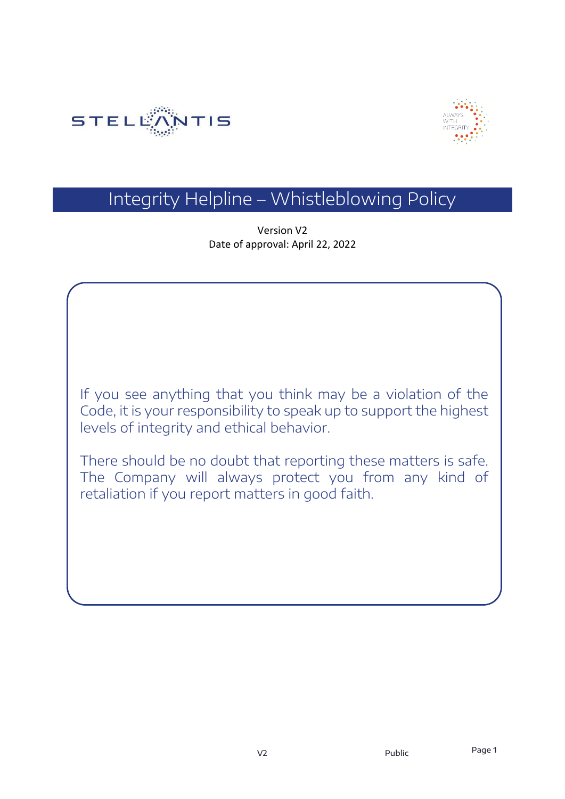



# Integrity Helpline – Whistleblowing Policy

Version V2 Date of approval: April 22, 2022

If you see anything that you think may be a violation of the Code, it is your responsibility to speak up to support the highest levels of integrity and ethical behavior.

There should be no doubt that reporting these matters is safe. The Company will always protect you from any kind of retaliation if you report matters in good faith.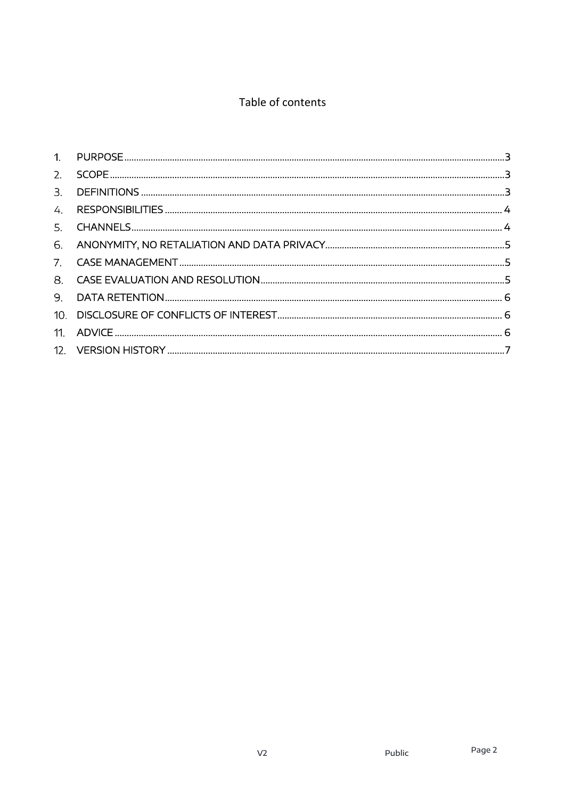#### Table of contents

| 3. |  |
|----|--|
| 4. |  |
| 5. |  |
|    |  |
|    |  |
|    |  |
| 9. |  |
|    |  |
|    |  |
|    |  |
|    |  |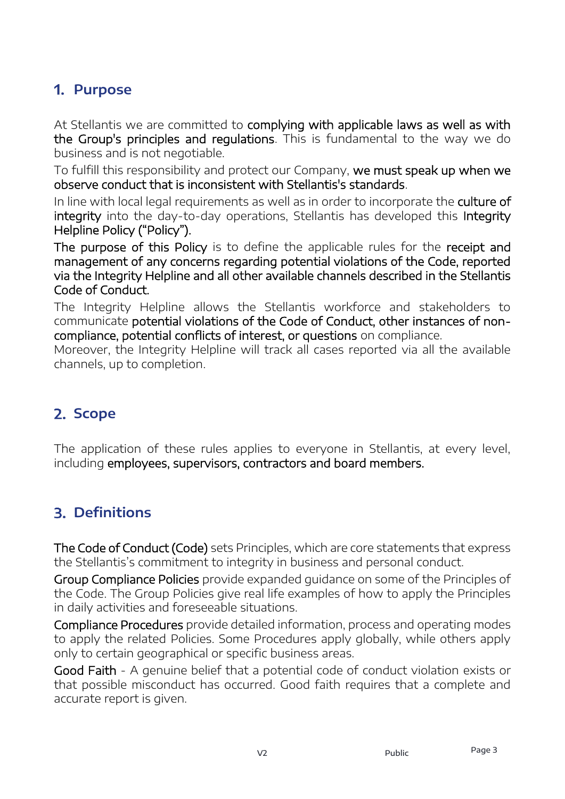### <span id="page-2-0"></span>**Purpose**

At Stellantis we are committed to complying with applicable laws as well as with the Group's principles and regulations. This is fundamental to the way we do business and is not negotiable.

To fulfill this responsibility and protect our Company, we must speak up when we observe conduct that is inconsistent with Stellantis's standards.

In line with local legal requirements as well as in order to incorporate the culture of integrity into the day-to-day operations, Stellantis has developed this Integrity Helpline Policy ("Policy").

The purpose of this Policy is to define the applicable rules for the receipt and management of any concerns regarding potential violations of the Code, reported via the Integrity Helpline and all other available channels described in the Stellantis Code of Conduct.

The Integrity Helpline allows the Stellantis workforce and stakeholders to communicate potential violations of the Code of Conduct, other instances of noncompliance, potential conflicts of interest, or questions on compliance.

Moreover, the Integrity Helpline will track all cases reported via all the available channels, up to completion.

# <span id="page-2-1"></span>2. Scope

The application of these rules applies to everyone in Stellantis, at every level, including employees, supervisors, contractors and board members.

# <span id="page-2-2"></span>**Definitions**

The Code of Conduct (Code) sets Principles, which are core statements that express the Stellantis's commitment to integrity in business and personal conduct.

Group Compliance Policies provide expanded guidance on some of the Principles of the Code. The Group Policies give real life examples of how to apply the Principles in daily activities and foreseeable situations.

Compliance Procedures provide detailed information, process and operating modes to apply the related Policies. Some Procedures apply globally, while others apply only to certain geographical or specific business areas.

Good Faith - A genuine belief that a potential code of conduct violation exists or that possible misconduct has occurred. Good faith requires that a complete and accurate report is given.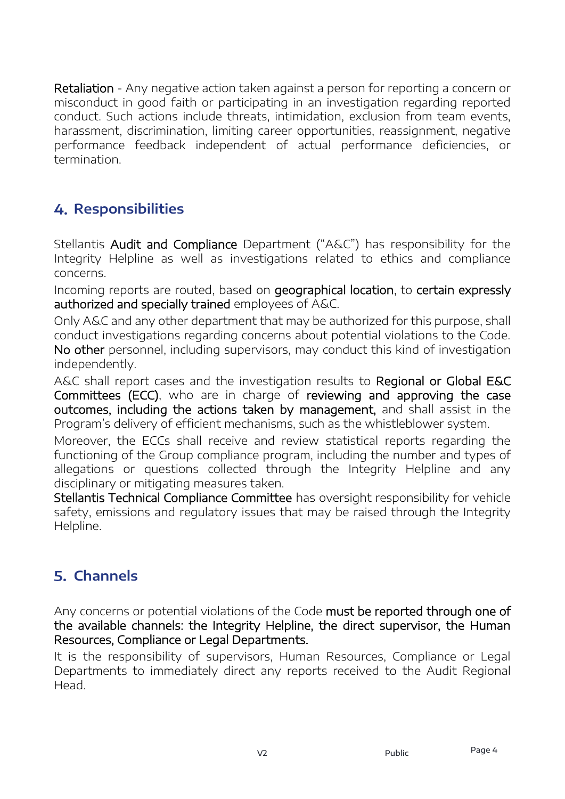Retaliation - Any negative action taken against a person for reporting a concern or misconduct in good faith or participating in an investigation regarding reported conduct. Such actions include threats, intimidation, exclusion from team events, harassment, discrimination, limiting career opportunities, reassignment, negative performance feedback independent of actual performance deficiencies, or termination.

# <span id="page-3-0"></span>**Responsibilities**

Stellantis Audit and Compliance Department ("A&C") has responsibility for the Integrity Helpline as well as investigations related to ethics and compliance concerns.

Incoming reports are routed, based on geographical location, to certain expressly authorized and specially trained employees of A&C.

Only A&C and any other department that may be authorized for this purpose, shall conduct investigations regarding concerns about potential violations to the Code. No other personnel, including supervisors, may conduct this kind of investigation independently.

A&C shall report cases and the investigation results to Regional or Global E&C Committees (ECC), who are in charge of reviewing and approving the case outcomes, including the actions taken by management, and shall assist in the Program's delivery of efficient mechanisms, such as the whistleblower system.

Moreover, the ECCs shall receive and review statistical reports regarding the functioning of the Group compliance program, including the number and types of allegations or questions collected through the Integrity Helpline and any disciplinary or mitigating measures taken.

Stellantis Technical Compliance Committee has oversight responsibility for vehicle safety, emissions and regulatory issues that may be raised through the Integrity Helpline.

# <span id="page-3-1"></span>**Channels**

Any concerns or potential violations of the Code must be reported through one of the available channels: the Integrity Helpline, the direct supervisor, the Human Resources, Compliance or Legal Departments.

It is the responsibility of supervisors, Human Resources, Compliance or Legal Departments to immediately direct any reports received to the Audit Regional Head.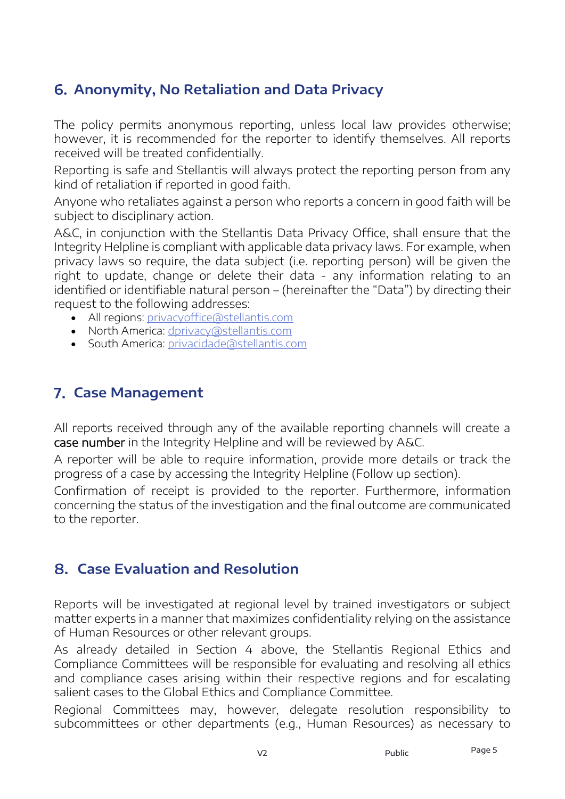### <span id="page-4-0"></span>**Anonymity, No Retaliation and Data Privacy**

The policy permits anonymous reporting, unless local law provides otherwise; however, it is recommended for the reporter to identify themselves. All reports received will be treated confidentially.

Reporting is safe and Stellantis will always protect the reporting person from any kind of retaliation if reported in good faith.

Anyone who retaliates against a person who reports a concern in good faith will be subject to disciplinary action.

A&C, in conjunction with the Stellantis Data Privacy Office, shall ensure that the Integrity Helpline is compliant with applicable data privacy laws. For example, when privacy laws so require, the data subject (i.e. reporting person) will be given the right to update, change or delete their data - any information relating to an identified or identifiable natural person – (hereinafter the "Data") by directing their request to the following addresses:

- All regions: privacyoffice@stellantis.com
- North America:<dprivacy@stellantis.com>
- South America: [privacidade@stellantis.com](mailto:privacidade@stellantis.com)

#### <span id="page-4-1"></span>**Case Management**

All reports received through any of the available reporting channels will create a case number in the Integrity Helpline and will be reviewed by A&C.

A reporter will be able to require information, provide more details or track the progress of a case by accessing the Integrity Helpline (Follow up section).

Confirmation of receipt is provided to the reporter. Furthermore, information concerning the status of the investigation and the final outcome are communicated to the reporter.

#### <span id="page-4-2"></span>**Case Evaluation and Resolution**

Reports will be investigated at regional level by trained investigators or subject matter experts in a manner that maximizes confidentiality relying on the assistance of Human Resources or other relevant groups.

As already detailed in Section 4 above, the Stellantis Regional Ethics and Compliance Committees will be responsible for evaluating and resolving all ethics and compliance cases arising within their respective regions and for escalating salient cases to the Global Ethics and Compliance Committee.

Regional Committees may, however, delegate resolution responsibility to subcommittees or other departments (e.g., Human Resources) as necessary to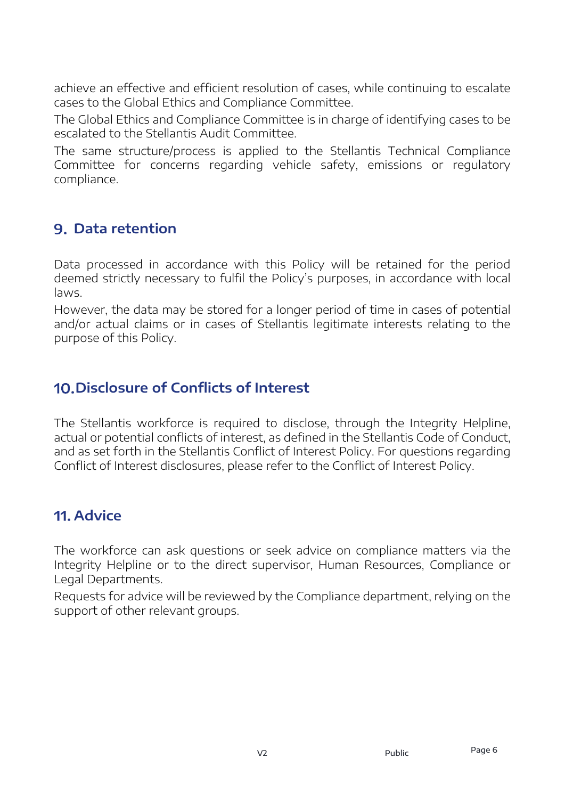achieve an effective and efficient resolution of cases, while continuing to escalate cases to the Global Ethics and Compliance Committee.

The Global Ethics and Compliance Committee is in charge of identifying cases to be escalated to the Stellantis Audit Committee.

The same structure/process is applied to the Stellantis Technical Compliance Committee for concerns regarding vehicle safety, emissions or regulatory compliance.

### <span id="page-5-0"></span>**Data retention**

Data processed in accordance with this Policy will be retained for the period deemed strictly necessary to fulfil the Policy's purposes, in accordance with local laws.

However, the data may be stored for a longer period of time in cases of potential and/or actual claims or in cases of Stellantis legitimate interests relating to the purpose of this Policy.

### <span id="page-5-1"></span>**Disclosure of Conflicts of Interest**

The Stellantis workforce is required to disclose, through the Integrity Helpline, actual or potential conflicts of interest, as defined in the Stellantis Code of Conduct, and as set forth in the Stellantis Conflict of Interest Policy. For questions regarding Conflict of Interest disclosures, please refer to the Conflict of Interest Policy.

### <span id="page-5-2"></span>**Advice**

The workforce can ask questions or seek advice on compliance matters via the Integrity Helpline or to the direct supervisor, Human Resources, Compliance or Legal Departments.

<span id="page-5-3"></span>Requests for advice will be reviewed by the Compliance department, relying on the support of other relevant groups.